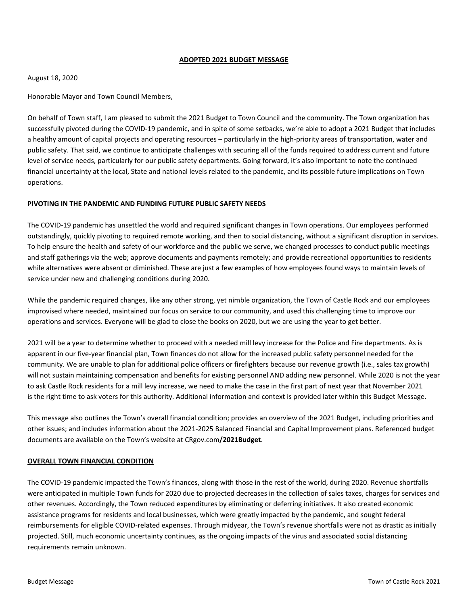#### **ADOPTED 2021 BUDGET MESSAGE**

#### August 18, 2020

Honorable Mayor and Town Council Members,

On behalf of Town staff, I am pleased to submit the 2021 Budget to Town Council and the community. The Town organization has successfully pivoted during the COVID‐19 pandemic, and in spite of some setbacks, we're able to adopt a 2021 Budget that includes a healthy amount of capital projects and operating resources – particularly in the high-priority areas of transportation, water and public safety. That said, we continue to anticipate challenges with securing all of the funds required to address current and future level of service needs, particularly for our public safety departments. Going forward, it's also important to note the continued financial uncertainty at the local, State and national levels related to the pandemic, and its possible future implications on Town operations.

## **PIVOTING IN THE PANDEMIC AND FUNDING FUTURE PUBLIC SAFETY NEEDS**

The COVID‐19 pandemic has unsettled the world and required significant changes in Town operations. Our employees performed outstandingly, quickly pivoting to required remote working, and then to social distancing, without a significant disruption in services. To help ensure the health and safety of our workforce and the public we serve, we changed processes to conduct public meetings and staff gatherings via the web; approve documents and payments remotely; and provide recreational opportunities to residents while alternatives were absent or diminished. These are just a few examples of how employees found ways to maintain levels of service under new and challenging conditions during 2020.

While the pandemic required changes, like any other strong, yet nimble organization, the Town of Castle Rock and our employees improvised where needed, maintained our focus on service to our community, and used this challenging time to improve our operations and services. Everyone will be glad to close the books on 2020, but we are using the year to get better.

2021 will be a year to determine whether to proceed with a needed mill levy increase for the Police and Fire departments. As is apparent in our five‐year financial plan, Town finances do not allow for the increased public safety personnel needed for the community. We are unable to plan for additional police officers or firefighters because our revenue growth (i.e., sales tax growth) will not sustain maintaining compensation and benefits for existing personnel AND adding new personnel. While 2020 is not the year to ask Castle Rock residents for a mill levy increase, we need to make the case in the first part of next year that November 2021 is the right time to ask voters for this authority. Additional information and context is provided later within this Budget Message.

This message also outlines the Town's overall financial condition; provides an overview of the 2021 Budget, including priorities and other issues; and includes information about the 2021‐2025 Balanced Financial and Capital Improvement plans. Referenced budget documents are available on the Town's website at CRgov.com**/2021Budget**.

## **OVERALL TOWN FINANCIAL CONDITION**

The COVID‐19 pandemic impacted the Town's finances, along with those in the rest of the world, during 2020. Revenue shortfalls were anticipated in multiple Town funds for 2020 due to projected decreases in the collection of sales taxes, charges for services and other revenues. Accordingly, the Town reduced expenditures by eliminating or deferring initiatives. It also created economic assistance programs for residents and local businesses, which were greatly impacted by the pandemic, and sought federal reimbursements for eligible COVID‐related expenses. Through midyear, the Town's revenue shortfalls were not as drastic as initially projected. Still, much economic uncertainty continues, as the ongoing impacts of the virus and associated social distancing requirements remain unknown.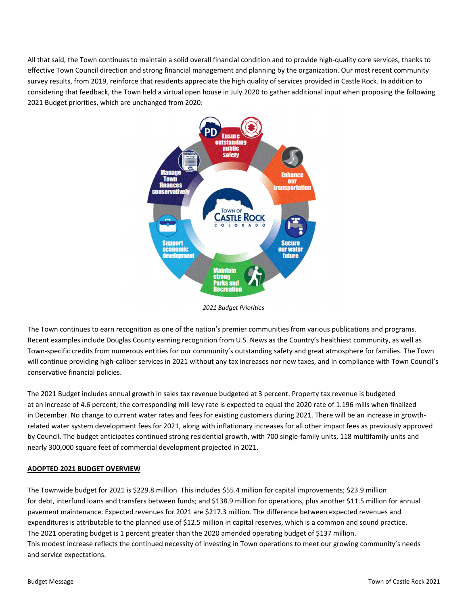All that said, the Town continues to maintain a solid overall financial condition and to provide high‐quality core services, thanks to effective Town Council direction and strong financial management and planning by the organization. Our most recent community survey results, from 2019, reinforce that residents appreciate the high quality of services provided in Castle Rock. In addition to considering that feedback, the Town held a virtual open house in July 2020 to gather additional input when proposing the following 2021 Budget priorities, which are unchanged from 2020:



*2021 Budget Priorities*

The Town continues to earn recognition as one of the nation's premier communities from various publications and programs. Recent examples include Douglas County earning recognition from U.S. News as the Country's healthiest community, as well as Town‐specific credits from numerous entities for our community's outstanding safety and great atmosphere for families. The Town will continue providing high-caliber services in 2021 without any tax increases nor new taxes, and in compliance with Town Council's conservative financial policies.

The 2021 Budget includes annual growth in sales tax revenue budgeted at 3 percent. Property tax revenue is budgeted at an increase of 4.6 percent; the corresponding mill levy rate is expected to equal the 2020 rate of 1.196 mills when finalized in December. No change to current water rates and fees for existing customers during 2021. There will be an increase in growthrelated water system development fees for 2021, along with inflationary increases for all other impact fees as previously approved by Council. The budget anticipates continued strong residential growth, with 700 single‐family units, 118 multifamily units and nearly 300,000 square feet of commercial development projected in 2021.

## **ADOPTED 2021 BUDGET OVERVIEW**

The Townwide budget for 2021 is \$229.8 million. This includes \$55.4 million for capital improvements; \$23.9 million for debt, interfund loans and transfers between funds; and \$138.9 million for operations, plus another \$11.5 million for annual pavement maintenance. Expected revenues for 2021 are \$217.3 million. The difference between expected revenues and expenditures is attributable to the planned use of \$12.5 million in capital reserves, which is a common and sound practice. The 2021 operating budget is 1 percent greater than the 2020 amended operating budget of \$137 million. This modest increase reflects the continued necessity of investing in Town operations to meet our growing community's needs and service expectations.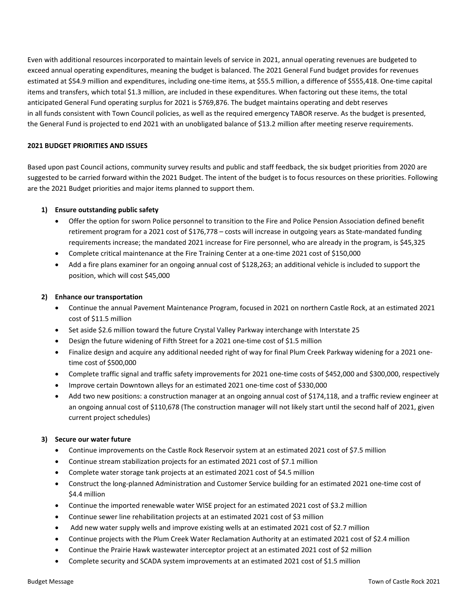Even with additional resources incorporated to maintain levels of service in 2021, annual operating revenues are budgeted to exceed annual operating expenditures, meaning the budget is balanced. The 2021 General Fund budget provides for revenues estimated at \$54.9 million and expenditures, including one-time items, at \$55.5 million, a difference of \$555,418. One-time capital items and transfers, which total \$1.3 million, are included in these expenditures. When factoring out these items, the total anticipated General Fund operating surplus for 2021 is \$769,876. The budget maintains operating and debt reserves in all funds consistent with Town Council policies, as well as the required emergency TABOR reserve. As the budget is presented, the General Fund is projected to end 2021 with an unobligated balance of \$13.2 million after meeting reserve requirements.

## **2021 BUDGET PRIORITIES AND ISSUES**

Based upon past Council actions, community survey results and public and staff feedback, the six budget priorities from 2020 are suggested to be carried forward within the 2021 Budget. The intent of the budget is to focus resources on these priorities. Following are the 2021 Budget priorities and major items planned to support them.

### **1) Ensure outstanding public safety**

- Offer the option for sworn Police personnel to transition to the Fire and Police Pension Association defined benefit retirement program for a 2021 cost of \$176,778 – costs will increase in outgoing years as State-mandated funding requirements increase; the mandated 2021 increase for Fire personnel, who are already in the program, is \$45,325
- Complete critical maintenance at the Fire Training Center at a one‐time 2021 cost of \$150,000
- Add a fire plans examiner for an ongoing annual cost of \$128,263; an additional vehicle is included to support the position, which will cost \$45,000

#### **2) Enhance our transportation**

- Continue the annual Pavement Maintenance Program, focused in 2021 on northern Castle Rock, at an estimated 2021 cost of \$11.5 million
- Set aside \$2.6 million toward the future Crystal Valley Parkway interchange with Interstate 25
- Design the future widening of Fifth Street for a 2021 one‐time cost of \$1.5 million
- Finalize design and acquire any additional needed right of way for final Plum Creek Parkway widening for a 2021 one‐ time cost of \$500,000
- Complete traffic signal and traffic safety improvements for 2021 one‐time costs of \$452,000 and \$300,000, respectively
- Improve certain Downtown alleys for an estimated 2021 one‐time cost of \$330,000
- Add two new positions: a construction manager at an ongoing annual cost of \$174,118, and a traffic review engineer at an ongoing annual cost of \$110,678 (The construction manager will not likely start until the second half of 2021, given current project schedules)

#### **3) Secure our water future**

- Continue improvements on the Castle Rock Reservoir system at an estimated 2021 cost of \$7.5 million
- Continue stream stabilization projects for an estimated 2021 cost of \$7.1 million
- Complete water storage tank projects at an estimated 2021 cost of \$4.5 million
- Construct the long‐planned Administration and Customer Service building for an estimated 2021 one‐time cost of \$4.4 million
- Continue the imported renewable water WISE project for an estimated 2021 cost of \$3.2 million
- Continue sewer line rehabilitation projects at an estimated 2021 cost of \$3 million
- Add new water supply wells and improve existing wells at an estimated 2021 cost of \$2.7 million
- Continue projects with the Plum Creek Water Reclamation Authority at an estimated 2021 cost of \$2.4 million
- Continue the Prairie Hawk wastewater interceptor project at an estimated 2021 cost of \$2 million
- Complete security and SCADA system improvements at an estimated 2021 cost of \$1.5 million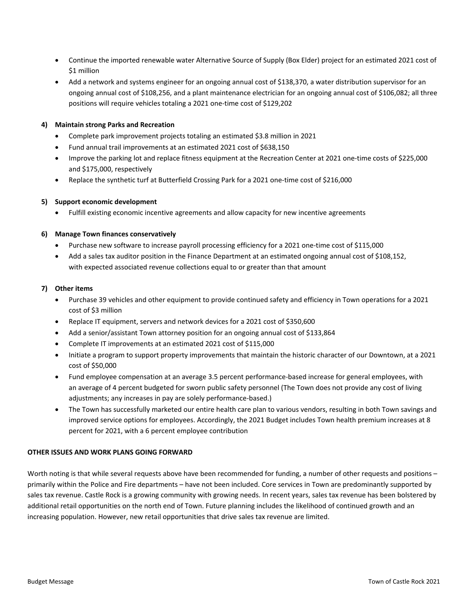- Continue the imported renewable water Alternative Source of Supply (Box Elder) project for an estimated 2021 cost of \$1 million
- Add a network and systems engineer for an ongoing annual cost of \$138,370, a water distribution supervisor for an ongoing annual cost of \$108,256, and a plant maintenance electrician for an ongoing annual cost of \$106,082; all three positions will require vehicles totaling a 2021 one‐time cost of \$129,202

## **4) Maintain strong Parks and Recreation**

- Complete park improvement projects totaling an estimated \$3.8 million in 2021
- Fund annual trail improvements at an estimated 2021 cost of \$638,150
- Improve the parking lot and replace fitness equipment at the Recreation Center at 2021 one-time costs of \$225,000 and \$175,000, respectively
- Replace the synthetic turf at Butterfield Crossing Park for a 2021 one-time cost of \$216,000

# **5) Support economic development**

Fulfill existing economic incentive agreements and allow capacity for new incentive agreements

# **6) Manage Town finances conservatively**

- Purchase new software to increase payroll processing efficiency for a 2021 one‐time cost of \$115,000
- Add a sales tax auditor position in the Finance Department at an estimated ongoing annual cost of \$108,152, with expected associated revenue collections equal to or greater than that amount

## **7) Other items**

- Purchase 39 vehicles and other equipment to provide continued safety and efficiency in Town operations for a 2021 cost of \$3 million
- Replace IT equipment, servers and network devices for a 2021 cost of \$350,600
- Add a senior/assistant Town attorney position for an ongoing annual cost of \$133,864
- Complete IT improvements at an estimated 2021 cost of \$115,000
- Initiate a program to support property improvements that maintain the historic character of our Downtown, at a 2021 cost of \$50,000
- Fund employee compensation at an average 3.5 percent performance‐based increase for general employees, with an average of 4 percent budgeted for sworn public safety personnel (The Town does not provide any cost of living adjustments; any increases in pay are solely performance‐based.)
- The Town has successfully marketed our entire health care plan to various vendors, resulting in both Town savings and improved service options for employees. Accordingly, the 2021 Budget includes Town health premium increases at 8 percent for 2021, with a 6 percent employee contribution

## **OTHER ISSUES AND WORK PLANS GOING FORWARD**

Worth noting is that while several requests above have been recommended for funding, a number of other requests and positions – primarily within the Police and Fire departments – have not been included. Core services in Town are predominantly supported by sales tax revenue. Castle Rock is a growing community with growing needs. In recent years, sales tax revenue has been bolstered by additional retail opportunities on the north end of Town. Future planning includes the likelihood of continued growth and an increasing population. However, new retail opportunities that drive sales tax revenue are limited.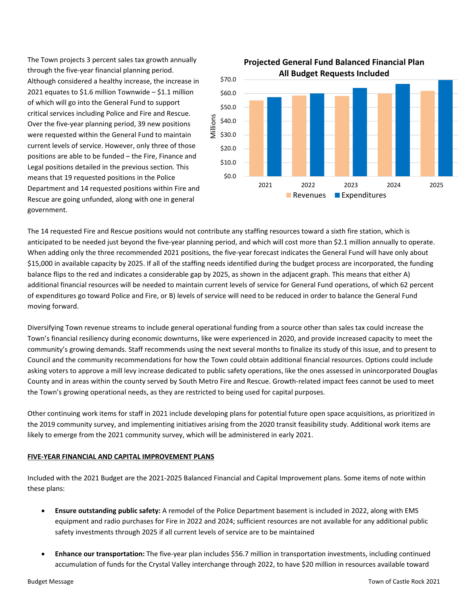The Town projects 3 percent sales tax growth annually through the five‐year financial planning period. Although considered a healthy increase, the increase in 2021 equates to \$1.6 million Townwide – \$1.1 million of which will go into the General Fund to support critical services including Police and Fire and Rescue. Over the five‐year planning period, 39 new positions were requested within the General Fund to maintain current levels of service. However, only three of those positions are able to be funded – the Fire, Finance and Legal positions detailed in the previous section. This means that 19 requested positions in the Police Department and 14 requested positions within Fire and Rescue are going unfunded, along with one in general government.



The 14 requested Fire and Rescue positions would not contribute any staffing resources toward a sixth fire station, which is anticipated to be needed just beyond the five-year planning period, and which will cost more than \$2.1 million annually to operate. When adding only the three recommended 2021 positions, the five-year forecast indicates the General Fund will have only about \$15,000 in available capacity by 2025. If all of the staffing needs identified during the budget process are incorporated, the funding balance flips to the red and indicates a considerable gap by 2025, as shown in the adjacent graph. This means that either A) additional financial resources will be needed to maintain current levels of service for General Fund operations, of which 62 percent of expenditures go toward Police and Fire, or B) levels of service will need to be reduced in order to balance the General Fund moving forward.

Diversifying Town revenue streams to include general operational funding from a source other than sales tax could increase the Town's financial resiliency during economic downturns, like were experienced in 2020, and provide increased capacity to meet the community's growing demands. Staff recommends using the next several months to finalize its study of this issue, and to present to Council and the community recommendations for how the Town could obtain additional financial resources. Options could include asking voters to approve a mill levy increase dedicated to public safety operations, like the ones assessed in unincorporated Douglas County and in areas within the county served by South Metro Fire and Rescue. Growth‐related impact fees cannot be used to meet the Town's growing operational needs, as they are restricted to being used for capital purposes.

Other continuing work items for staff in 2021 include developing plans for potential future open space acquisitions, as prioritized in the 2019 community survey, and implementing initiatives arising from the 2020 transit feasibility study. Additional work items are likely to emerge from the 2021 community survey, which will be administered in early 2021.

## **FIVE‐YEAR FINANCIAL AND CAPITAL IMPROVEMENT PLANS**

Included with the 2021 Budget are the 2021‐2025 Balanced Financial and Capital Improvement plans. Some items of note within these plans:

- **Ensure outstanding public safety:** A remodel of the Police Department basement is included in 2022, along with EMS equipment and radio purchases for Fire in 2022 and 2024; sufficient resources are not available for any additional public safety investments through 2025 if all current levels of service are to be maintained
- **Enhance our transportation:** The five‐year plan includes \$56.7 million in transportation investments, including continued accumulation of funds for the Crystal Valley interchange through 2022, to have \$20 million in resources available toward